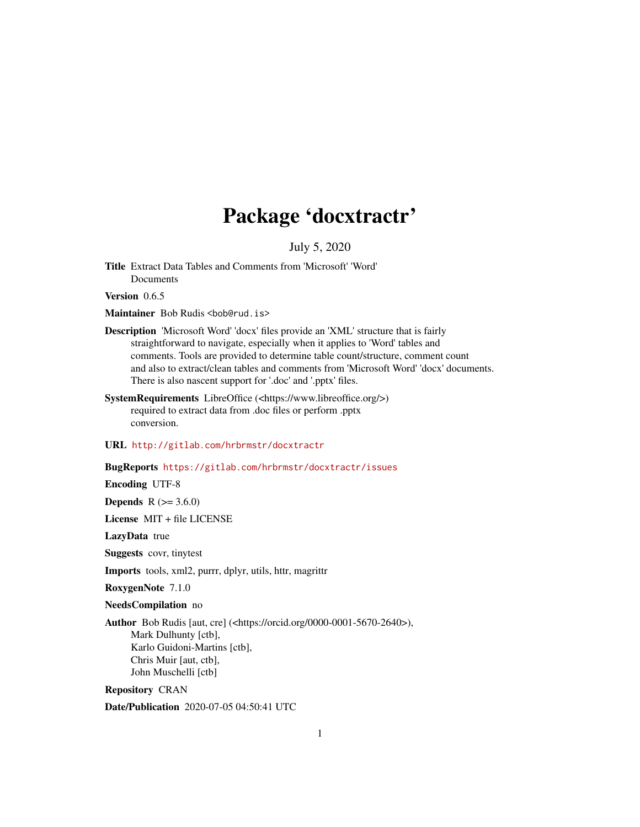## Package 'docxtractr'

July 5, 2020

Title Extract Data Tables and Comments from 'Microsoft' 'Word' Documents

Version 0.6.5

Maintainer Bob Rudis <bob@rud.is>

- Description 'Microsoft Word' 'docx' files provide an 'XML' structure that is fairly straightforward to navigate, especially when it applies to 'Word' tables and comments. Tools are provided to determine table count/structure, comment count and also to extract/clean tables and comments from 'Microsoft Word' 'docx' documents. There is also nascent support for '.doc' and '.pptx' files.
- SystemRequirements LibreOffice (<https://www.libreoffice.org/>) required to extract data from .doc files or perform .pptx conversion.

URL <http://gitlab.com/hrbrmstr/docxtractr>

BugReports <https://gitlab.com/hrbrmstr/docxtractr/issues>

Encoding UTF-8

**Depends**  $R (= 3.6.0)$ 

License MIT + file LICENSE

LazyData true

Suggests covr, tinytest

Imports tools, xml2, purrr, dplyr, utils, httr, magrittr

RoxygenNote 7.1.0

NeedsCompilation no

Author Bob Rudis [aut, cre] (<https://orcid.org/0000-0001-5670-2640>), Mark Dulhunty [ctb], Karlo Guidoni-Martins [ctb], Chris Muir [aut, ctb], John Muschelli [ctb]

Repository CRAN

Date/Publication 2020-07-05 04:50:41 UTC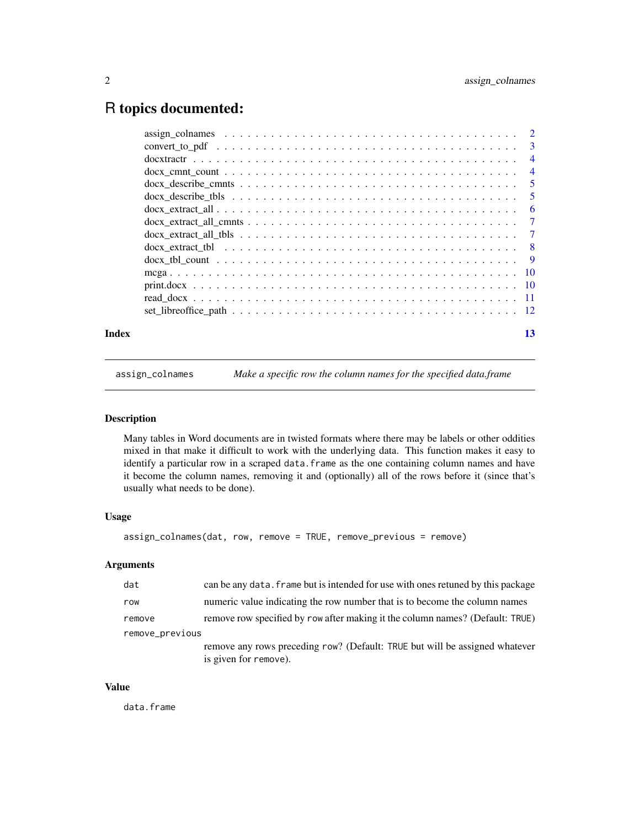### <span id="page-1-0"></span>R topics documented:

| Index | 13 |
|-------|----|

<span id="page-1-1"></span>assign\_colnames *Make a specific row the column names for the specified data.frame*

#### Description

Many tables in Word documents are in twisted formats where there may be labels or other oddities mixed in that make it difficult to work with the underlying data. This function makes it easy to identify a particular row in a scraped data. frame as the one containing column names and have it become the column names, removing it and (optionally) all of the rows before it (since that's usually what needs to be done).

#### Usage

```
assign_colnames(dat, row, remove = TRUE, remove_previous = remove)
```
#### Arguments

| dat             | can be any data. Frame but is intended for use with ones retuned by this package |
|-----------------|----------------------------------------------------------------------------------|
| row             | numeric value indicating the row number that is to become the column names       |
| remove          | remove row specified by row after making it the column names? (Default: TRUE)    |
| remove_previous |                                                                                  |
|                 | remove any rows preceding row? (Default: TRUE but will be assigned whatever      |
|                 | is given for remove).                                                            |

#### Value

data.frame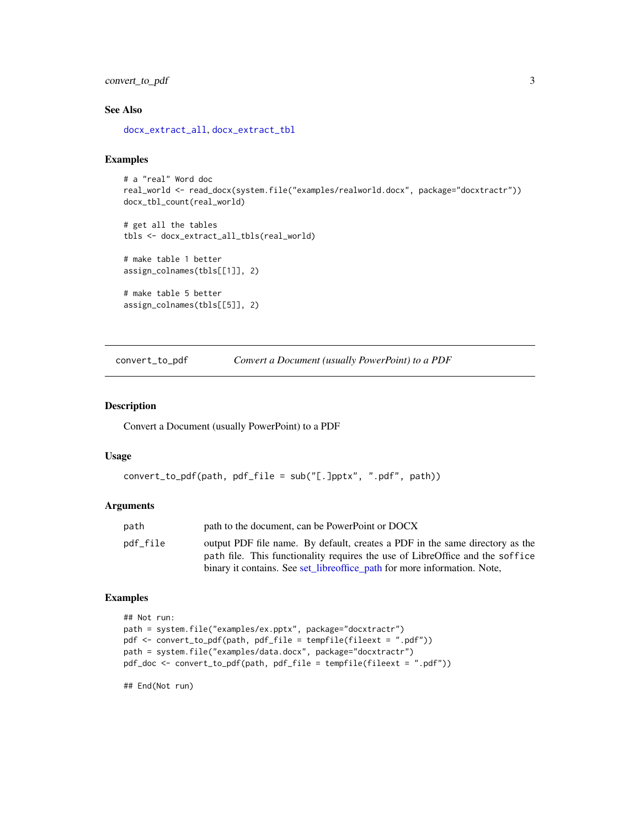#### <span id="page-2-0"></span>convert\_to\_pdf 3

#### See Also

[docx\\_extract\\_all](#page-5-1), [docx\\_extract\\_tbl](#page-7-1)

#### Examples

```
# a "real" Word doc
real_world <- read_docx(system.file("examples/realworld.docx", package="docxtractr"))
docx_tbl_count(real_world)
```
# get all the tables tbls <- docx\_extract\_all\_tbls(real\_world)

# make table 1 better assign\_colnames(tbls[[1]], 2)

# make table 5 better assign\_colnames(tbls[[5]], 2)

convert\_to\_pdf *Convert a Document (usually PowerPoint) to a PDF*

#### Description

Convert a Document (usually PowerPoint) to a PDF

#### Usage

```
convert_to_pdf(path, pdf_file = sub("[.]pptx", ".pdf", path))
```
#### Arguments

| path     | path to the document, can be PowerPoint or DOCX                                                                                                               |
|----------|---------------------------------------------------------------------------------------------------------------------------------------------------------------|
| pdf_file | output PDF file name. By default, creates a PDF in the same directory as the<br>path file. This functionality requires the use of LibreOffice and the soffice |
|          | binary it contains. See set_libreoffice_path for more information. Note,                                                                                      |

#### Examples

```
## Not run:
path = system.file("examples/ex.pptx", package="docxtractr")
pdf <- convert_to_pdf(path, pdf_file = tempfile(fileext = ".pdf"))
path = system.file("examples/data.docx", package="docxtractr")
pdf_doc <- convert_to_pdf(path, pdf_file = tempfile(fileext = ".pdf"))
```
## End(Not run)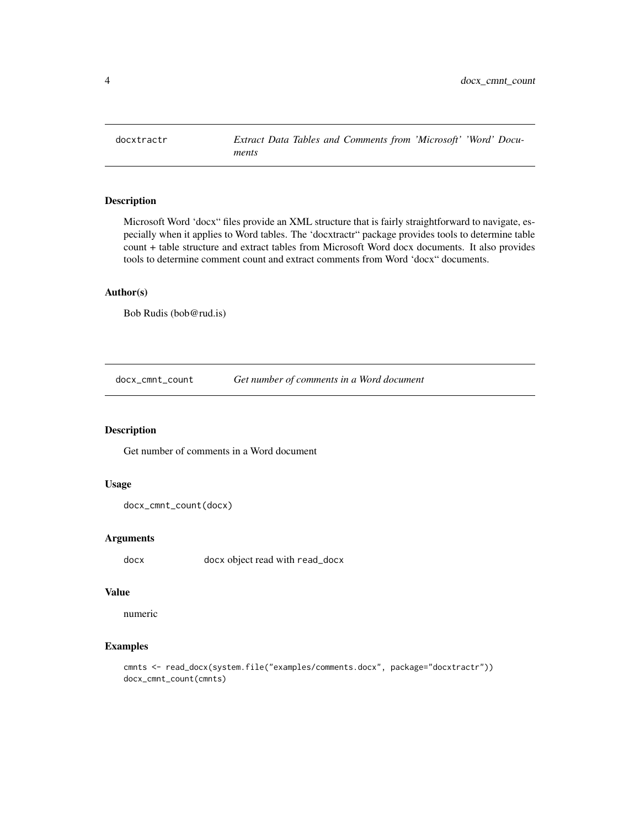<span id="page-3-0"></span>

#### Description

Microsoft Word 'docx" files provide an XML structure that is fairly straightforward to navigate, especially when it applies to Word tables. The 'docxtractr" package provides tools to determine table count + table structure and extract tables from Microsoft Word docx documents. It also provides tools to determine comment count and extract comments from Word 'docx" documents.

#### Author(s)

Bob Rudis (bob@rud.is)

docx\_cmnt\_count *Get number of comments in a Word document*

#### Description

Get number of comments in a Word document

#### Usage

```
docx_cmnt_count(docx)
```
#### Arguments

docx docx object read with read\_docx

#### Value

numeric

#### Examples

```
cmnts <- read_docx(system.file("examples/comments.docx", package="docxtractr"))
docx_cmnt_count(cmnts)
```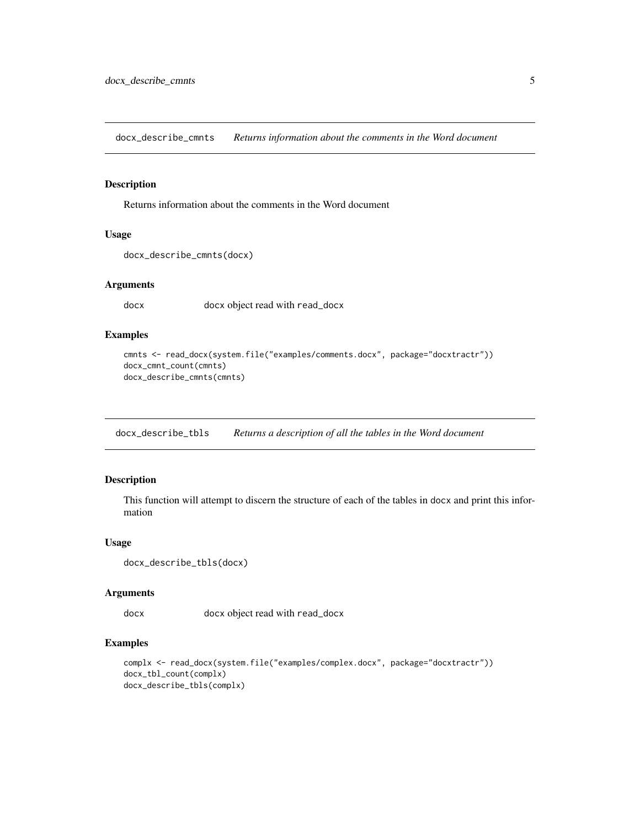<span id="page-4-0"></span>docx\_describe\_cmnts *Returns information about the comments in the Word document*

#### Description

Returns information about the comments in the Word document

#### Usage

```
docx_describe_cmnts(docx)
```
#### Arguments

docx docx object read with read\_docx

#### Examples

```
cmnts <- read_docx(system.file("examples/comments.docx", package="docxtractr"))
docx_cmnt_count(cmnts)
docx_describe_cmnts(cmnts)
```
docx\_describe\_tbls *Returns a description of all the tables in the Word document*

#### Description

This function will attempt to discern the structure of each of the tables in docx and print this information

#### Usage

```
docx_describe_tbls(docx)
```
#### Arguments

docx docx object read with read\_docx

#### Examples

```
complx <- read_docx(system.file("examples/complex.docx", package="docxtractr"))
docx_tbl_count(complx)
docx_describe_tbls(complx)
```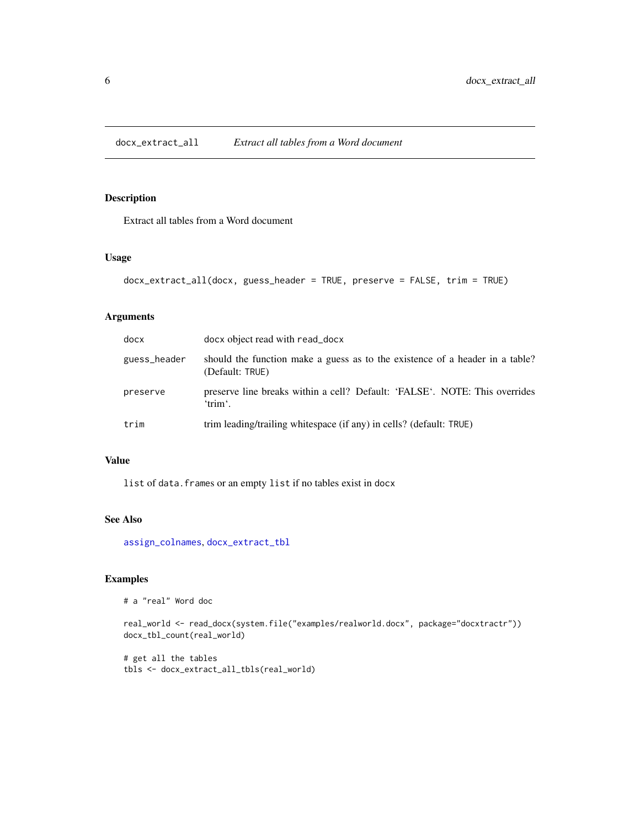<span id="page-5-1"></span><span id="page-5-0"></span>docx\_extract\_all *Extract all tables from a Word document*

#### Description

Extract all tables from a Word document

#### Usage

```
docx_extract_all(docx, guess_header = TRUE, preserve = FALSE, trim = TRUE)
```
#### Arguments

| docx         | docx object read with read_docx                                                                 |
|--------------|-------------------------------------------------------------------------------------------------|
| guess_header | should the function make a guess as to the existence of a header in a table?<br>(Default: TRUE) |
| preserve     | preserve line breaks within a cell? Default: 'FALSE'. NOTE: This overrides<br>'trim'.           |
| trim         | trim leading/trailing whitespace (if any) in cells? (default: TRUE)                             |

#### Value

list of data.frames or an empty list if no tables exist in docx

#### See Also

[assign\\_colnames](#page-1-1), [docx\\_extract\\_tbl](#page-7-1)

#### Examples

```
# a "real" Word doc
```

```
real_world <- read_docx(system.file("examples/realworld.docx", package="docxtractr"))
docx_tbl_count(real_world)
```
# get all the tables tbls <- docx\_extract\_all\_tbls(real\_world)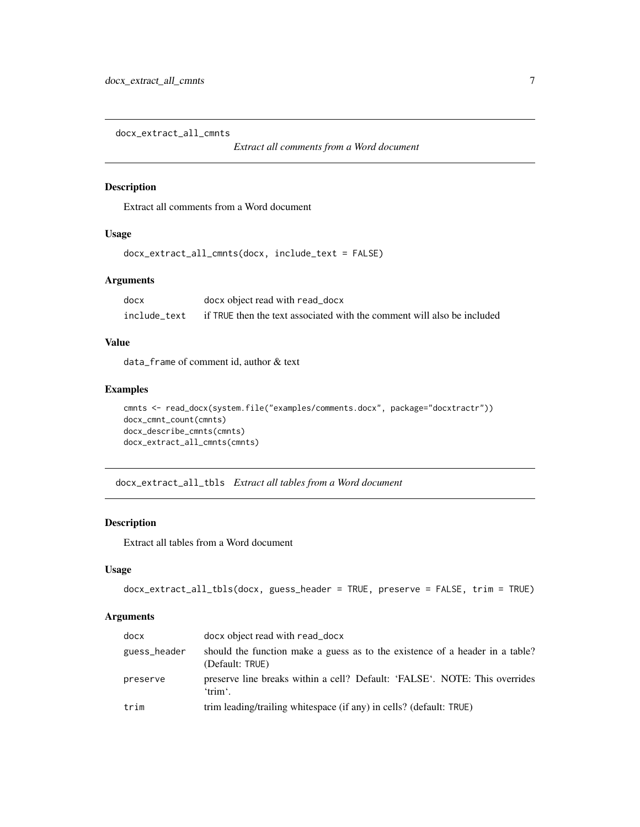<span id="page-6-0"></span>docx\_extract\_all\_cmnts

*Extract all comments from a Word document*

#### Description

Extract all comments from a Word document

#### Usage

```
docx_extract_all_cmnts(docx, include_text = FALSE)
```
#### Arguments

| docx         | docx object read with read_docx                                         |
|--------------|-------------------------------------------------------------------------|
| include text | if TRUE then the text associated with the comment will also be included |

#### Value

data\_frame of comment id, author & text

#### Examples

```
cmnts <- read_docx(system.file("examples/comments.docx", package="docxtractr"))
docx_cmnt_count(cmnts)
docx_describe_cmnts(cmnts)
docx_extract_all_cmnts(cmnts)
```
docx\_extract\_all\_tbls *Extract all tables from a Word document*

#### Description

Extract all tables from a Word document

#### Usage

```
docx_extract_all_tbls(docx, guess_header = TRUE, preserve = FALSE, trim = TRUE)
```
#### Arguments

| docx         | docx object read with read_docx                                                                 |
|--------------|-------------------------------------------------------------------------------------------------|
| guess_header | should the function make a guess as to the existence of a header in a table?<br>(Default: TRUE) |
| preserve     | preserve line breaks within a cell? Default: 'FALSE'. NOTE: This overrides<br>'trim'.           |
| trim         | trim leading/trailing whitespace (if any) in cells? (default: TRUE)                             |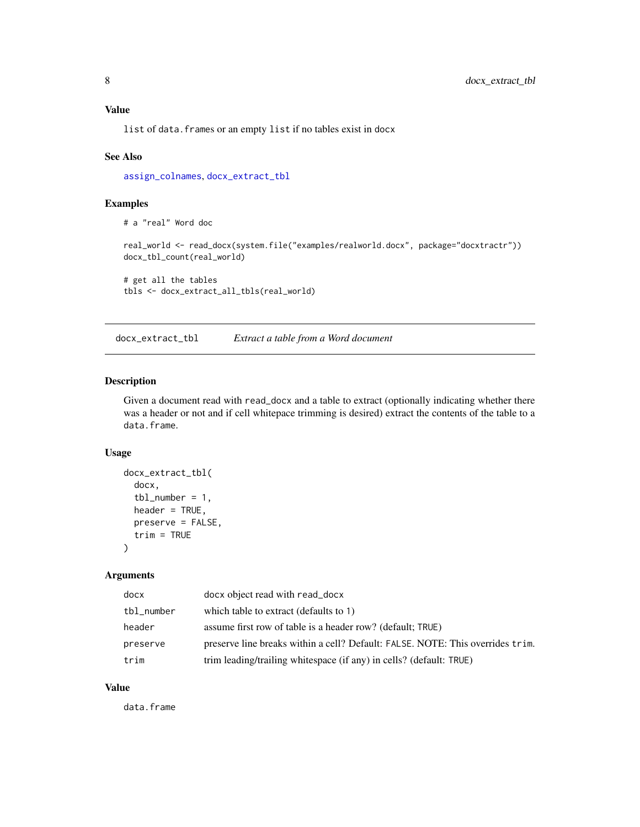### <span id="page-7-0"></span>Value

list of data.frames or an empty list if no tables exist in docx

#### See Also

[assign\\_colnames](#page-1-1), [docx\\_extract\\_tbl](#page-7-1)

#### Examples

# a "real" Word doc

real\_world <- read\_docx(system.file("examples/realworld.docx", package="docxtractr")) docx\_tbl\_count(real\_world)

# get all the tables tbls <- docx\_extract\_all\_tbls(real\_world)

<span id="page-7-1"></span>docx\_extract\_tbl *Extract a table from a Word document*

#### Description

Given a document read with read\_docx and a table to extract (optionally indicating whether there was a header or not and if cell whitepace trimming is desired) extract the contents of the table to a data.frame.

#### Usage

```
docx_extract_tbl(
  docx,
  tbl_number = 1,
  header = TRUE,preserve = FALSE,
  trim = TRUE
\lambda
```
#### Arguments

| docx       | docx object read with read_docx                                                |
|------------|--------------------------------------------------------------------------------|
| tbl_number | which table to extract (defaults to 1)                                         |
| header     | assume first row of table is a header row? (default; TRUE)                     |
| preserve   | preserve line breaks within a cell? Default: FALSE. NOTE: This overrides trim. |
| trim       | trim leading/trailing whitespace (if any) in cells? (default: TRUE)            |

#### Value

data.frame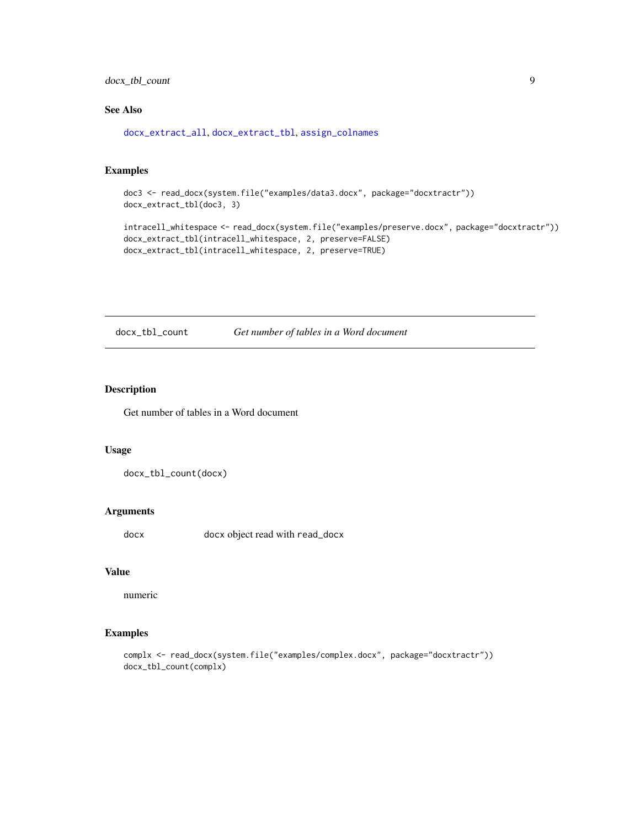<span id="page-8-0"></span>docx\_tbl\_count 9

#### See Also

[docx\\_extract\\_all](#page-5-1), [docx\\_extract\\_tbl](#page-7-1), [assign\\_colnames](#page-1-1)

#### Examples

```
doc3 <- read_docx(system.file("examples/data3.docx", package="docxtractr"))
docx_extract_tbl(doc3, 3)
```

```
intracell_whitespace <- read_docx(system.file("examples/preserve.docx", package="docxtractr"))
docx_extract_tbl(intracell_whitespace, 2, preserve=FALSE)
docx_extract_tbl(intracell_whitespace, 2, preserve=TRUE)
```
docx\_tbl\_count *Get number of tables in a Word document*

#### Description

Get number of tables in a Word document

#### Usage

docx\_tbl\_count(docx)

#### Arguments

docx docx object read with read\_docx

#### Value

numeric

#### Examples

complx <- read\_docx(system.file("examples/complex.docx", package="docxtractr")) docx\_tbl\_count(complx)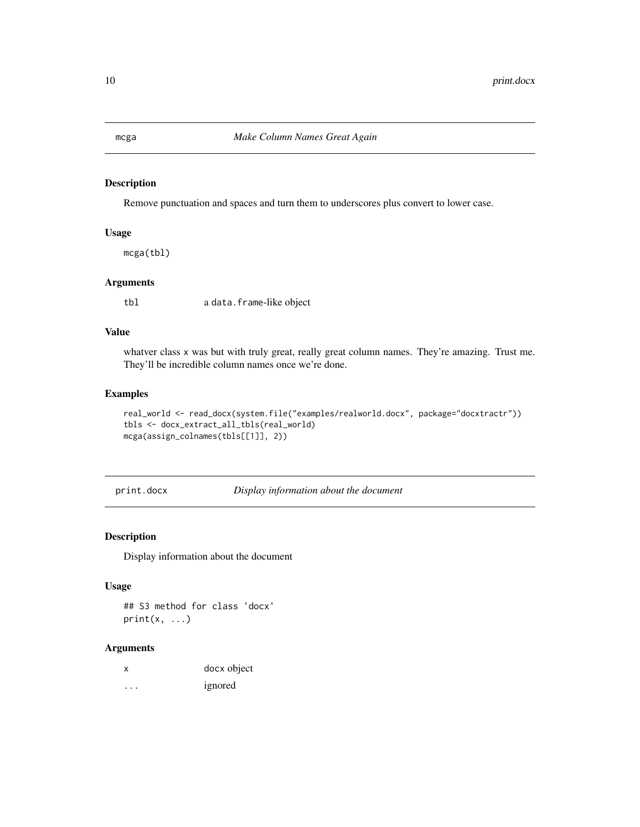<span id="page-9-0"></span>

#### **Description**

Remove punctuation and spaces and turn them to underscores plus convert to lower case.

#### Usage

mcga(tbl)

#### Arguments

tbl a data.frame-like object

### Value

whatver class x was but with truly great, really great column names. They're amazing. Trust me. They'll be incredible column names once we're done.

#### Examples

```
real_world <- read_docx(system.file("examples/realworld.docx", package="docxtractr"))
tbls <- docx_extract_all_tbls(real_world)
mcga(assign_colnames(tbls[[1]], 2))
```
print.docx *Display information about the document*

#### Description

Display information about the document

#### Usage

## S3 method for class 'docx'  $print(x, \ldots)$ 

#### Arguments

|   | docx object |
|---|-------------|
| . | ignored     |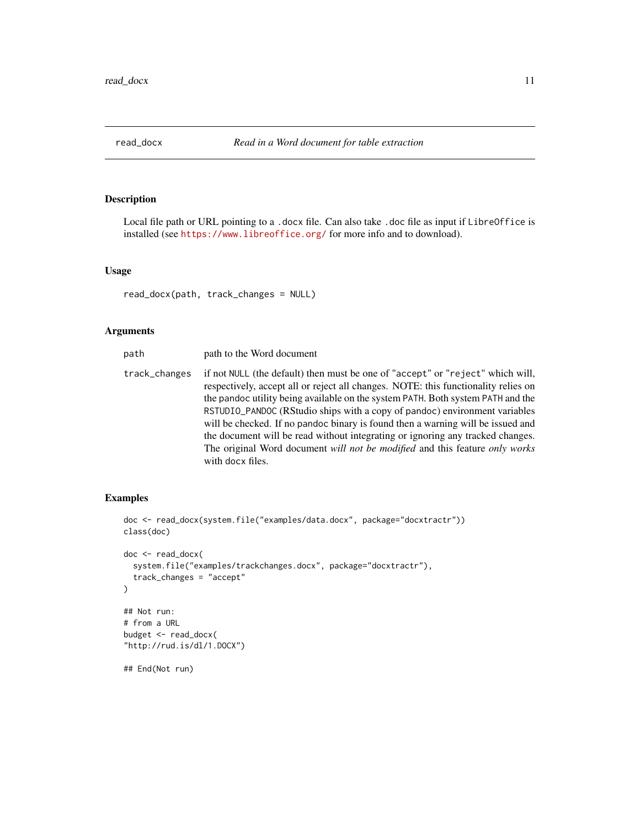<span id="page-10-0"></span>

#### Description

Local file path or URL pointing to a .docx file. Can also take .doc file as input if LibreOffice is installed (see <https://www.libreoffice.org/> for more info and to download).

#### Usage

read\_docx(path, track\_changes = NULL)

#### Arguments

| path          | path to the Word document                                                                                                                                                                                                                                                                                                                                                                                                                                                                                                                                                                                     |
|---------------|---------------------------------------------------------------------------------------------------------------------------------------------------------------------------------------------------------------------------------------------------------------------------------------------------------------------------------------------------------------------------------------------------------------------------------------------------------------------------------------------------------------------------------------------------------------------------------------------------------------|
| track_changes | if not NULL (the default) then must be one of "accept" or "reject" which will,<br>respectively, accept all or reject all changes. NOTE: this functionality relies on<br>the pandoc utility being available on the system PATH. Both system PATH and the<br>RSTUDIO_PANDOC (RStudio ships with a copy of pandoc) environment variables<br>will be checked. If no pandoc binary is found then a warning will be issued and<br>the document will be read without integrating or ignoring any tracked changes.<br>The original Word document will not be modified and this feature only works<br>with docx files. |
|               |                                                                                                                                                                                                                                                                                                                                                                                                                                                                                                                                                                                                               |

#### Examples

```
doc <- read_docx(system.file("examples/data.docx", package="docxtractr"))
class(doc)
doc <- read_docx(
  system.file("examples/trackchanges.docx", package="docxtractr"),
  track_changes = "accept"
\lambda## Not run:
# from a URL
budget <- read_docx(
"http://rud.is/dl/1.DOCX")
## End(Not run)
```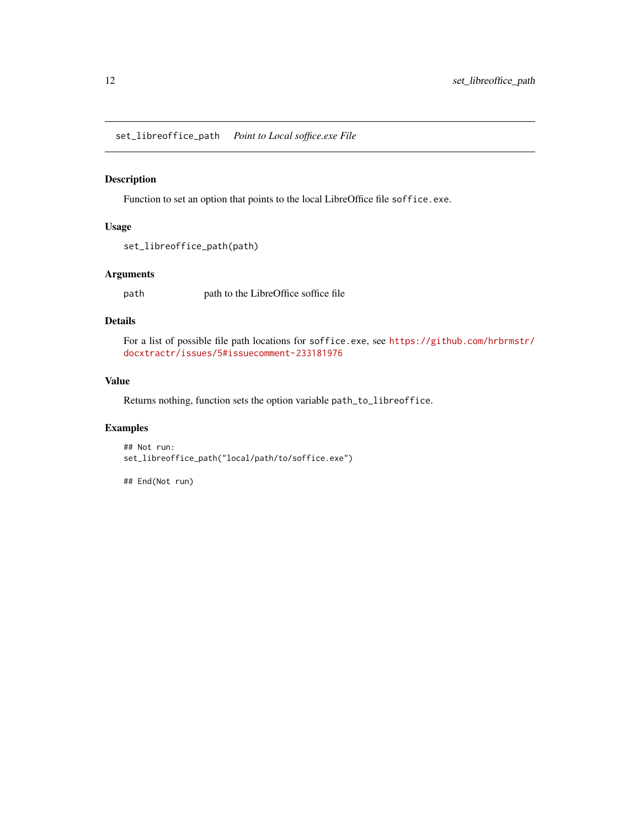<span id="page-11-1"></span><span id="page-11-0"></span>set\_libreoffice\_path *Point to Local soffice.exe File*

#### Description

Function to set an option that points to the local LibreOffice file soffice.exe.

#### Usage

```
set_libreoffice_path(path)
```
#### Arguments

path path to the LibreOffice soffice file

#### Details

For a list of possible file path locations for soffice.exe, see [https://github.com/hrbrmstr/](https://github.com/hrbrmstr/docxtractr/issues/5#issuecomment-233181976) [docxtractr/issues/5#issuecomment-233181976](https://github.com/hrbrmstr/docxtractr/issues/5#issuecomment-233181976)

#### Value

Returns nothing, function sets the option variable path\_to\_libreoffice.

#### Examples

```
## Not run:
set_libreoffice_path("local/path/to/soffice.exe")
```
## End(Not run)